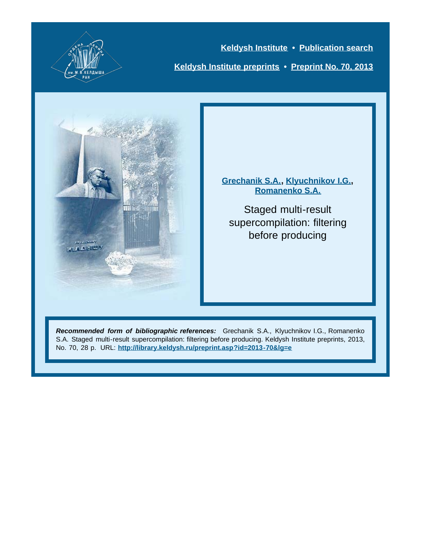

**[Keldysh Institute](http://keldysh.ru/index.en.shtml) • [Publication search](http://library.keldysh.ru/prep_qf.asp?lg=e) [Keldysh Institute preprints](http://library.keldysh.ru/preprints/default.asp?lg=e) • [Preprint No. 70, 2013](http://library.keldysh.ru/preprint.asp?id=2013-70&lg=e)**



**[Grechanik S.A.](http://library.keldysh.ru/author_page.asp?aid=3634&lg=e), [Klyuchnikov I.G.,](http://library.keldysh.ru/author_page.asp?aid=3145&lg=e) [Romanenko S.A.](http://library.keldysh.ru/author_page.asp?aid=1291&lg=e)**

Staged multi-result supercompilation: filtering before producing

*Recommended form of bibliographic references:* Grechanik S.A., Klyuchnikov I.G., Romanenko S.A. Staged multi-result supercompilation: filtering before producing. Keldysh Institute preprints, 2013, No. 70, 28 p. URL: **<http://library.keldysh.ru/preprint.asp?id=2013-70&lg=e>**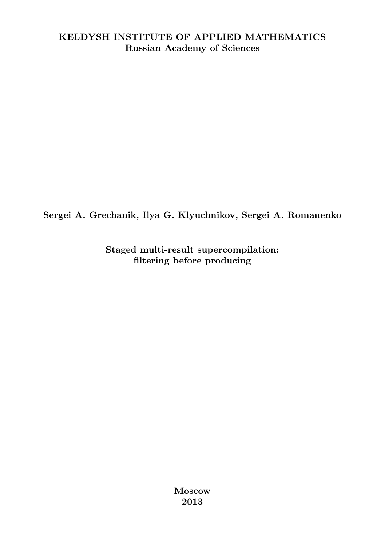#### KELDYSH INSTITUTE OF APPLIED MATHEMATICS Russian Academy of Sciences

Sergei A. Grechanik, Ilya G. Klyuchnikov, Sergei A. Romanenko

Staged multi-result supercompilation: filtering before producing

> Moscow 2013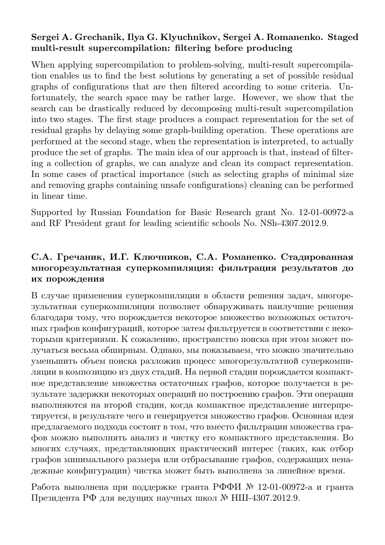#### Sergei A. Grechanik, Ilya G. Klyuchnikov, Sergei A. Romanenko. Staged multi-result supercompilation: filtering before producing

When applying supercompilation to problem-solving, multi-result supercompilation enables us to find the best solutions by generating a set of possible residual graphs of configurations that are then filtered according to some criteria. Unfortunately, the search space may be rather large. However, we show that the search can be drastically reduced by decomposing multi-result supercompilation into two stages. The first stage produces a compact representation for the set of residual graphs by delaying some graph-building operation. These operations are performed at the second stage, when the representation is interpreted, to actually produce the set of graphs. The main idea of our approach is that, instead of filtering a collection of graphs, we can analyze and clean its compact representation. In some cases of practical importance (such as selecting graphs of minimal size and removing graphs containing unsafe configurations) cleaning can be performed in linear time.

Supported by Russian Foundation for Basic Research grant No. 12-01-00972-a and RF President grant for leading scientific schools No. NSh-4307.2012.9.

#### С.А. Гречаник, И.Г. Ключников, С.А. Романенко. Стадированная многорезультатная суперкомпиляция: фильтрация результатов до их порождения

В случае применения суперкомпиляции в области решения задач, многорезультатная суперкомпиляция позволяет обнаруживать наилучшие решения благодаря тому, что порождается некоторое множество возможных остаточных графов конфигураций, которое затем фильтруется в соответствии с некоторыми критериями. К сожалению, пространство поиска при этом может получаться весьма обширным. Однако, мы показываем, что можно значительно уменьшить объем поиска разложив процесс многорезультатной суперкомпиляции в композицию из двух стадий. На первой стадии порождается компактное представление множества остаточных графов, которое получается в результате задержки некоторых операций по построению графов. Эти операции выполняются на второй стадии, когда компактное представление интерпретируется, в результате чего и генерируется множество графов. Основная идея предлагаемого подхода состоит в том, что вместо фильтрации множества графов можно выполнять анализ и чистку его компактного представления. Во многих случаях, представляющих практический интерес (таких, как отбор графов минимального размера или отбрасывание графов, содержащих ненадежные конфигурации) чистка может быть выполнена за линейное время.

Работа выполнена при поддержке гранта РФФИ № 12-01-00972-a и гранта Президента РФ для ведущих научных школ № НШ-4307.2012.9.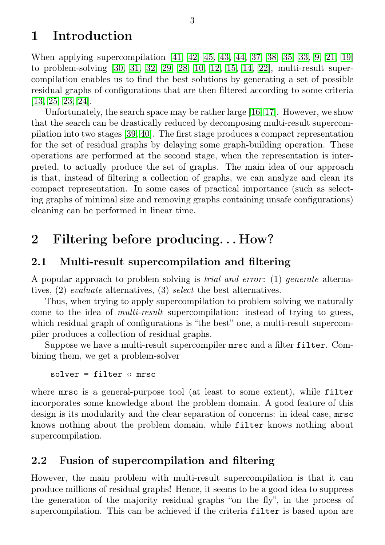## <span id="page-3-0"></span>1 Introduction

When applying supercompilation [\[41,](#page-27-0) [42,](#page-27-1) [45,](#page-27-2) [43,](#page-27-3) [44,](#page-27-4) [37,](#page-26-0) [38,](#page-26-1) [35,](#page-26-2) [33,](#page-26-3) [9,](#page-24-0) [21,](#page-25-0) [19\]](#page-25-1) to problem-solving [\[30,](#page-26-4) [31,](#page-26-5) [32,](#page-26-6) [29,](#page-26-7) [28,](#page-26-8) [10,](#page-24-1) [12,](#page-24-2) [15,](#page-25-2) [14,](#page-25-3) [22\]](#page-25-4), multi-result supercompilation enables us to find the best solutions by generating a set of possible residual graphs of configurations that are then filtered according to some criteria [\[13,](#page-24-3) [25,](#page-25-5) [23,](#page-25-6) [24\]](#page-25-7).

Unfortunately, the search space may be rather large [\[16,](#page-25-8) [17\]](#page-25-9). However, we show that the search can be drastically reduced by decomposing multi-result supercompilation into two stages [\[39,](#page-27-5) [40\]](#page-27-6). The first stage produces a compact representation for the set of residual graphs by delaying some graph-building operation. These operations are performed at the second stage, when the representation is interpreted, to actually produce the set of graphs. The main idea of our approach is that, instead of filtering a collection of graphs, we can analyze and clean its compact representation. In some cases of practical importance (such as selecting graphs of minimal size and removing graphs containing unsafe configurations) cleaning can be performed in linear time.

## <span id="page-3-1"></span>2 Filtering before producing. . . How?

#### <span id="page-3-2"></span>2.1 Multi-result supercompilation and filtering

A popular approach to problem solving is *trial and error*: (1) *generate* alternatives, (2) evaluate alternatives, (3) select the best alternatives.

Thus, when trying to apply supercompilation to problem solving we naturally come to the idea of multi-result supercompilation: instead of trying to guess, which residual graph of configurations is "the best" one, a multi-result supercompiler produces a collection of residual graphs.

Suppose we have a multi-result supercompiler mrsc and a filter filter. Combining them, we get a problem-solver

```
solver = filter ⊙ mrsc
```
where mrsc is a general-purpose tool (at least to some extent), while filter incorporates some knowledge about the problem domain. A good feature of this design is its modularity and the clear separation of concerns: in ideal case, mrsc knows nothing about the problem domain, while filter knows nothing about supercompilation.

### <span id="page-3-3"></span>2.2 Fusion of supercompilation and filtering

However, the main problem with multi-result supercompilation is that it can produce millions of residual graphs! Hence, it seems to be a good idea to suppress the generation of the majority residual graphs "on the fly", in the process of supercompilation. This can be achieved if the criteria filter is based upon are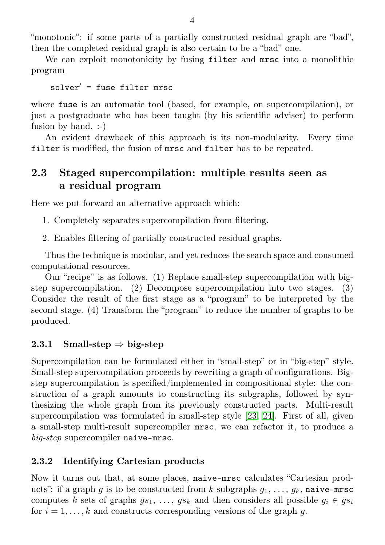"monotonic": if some parts of a partially constructed residual graph are "bad", then the completed residual graph is also certain to be a "bad" one.

We can exploit monotonicity by fusing filter and mrsc into a monolithic program

 $solver' = fuse filter mrec$ 

where fuse is an automatic tool (based, for example, on supercompilation), or just a postgraduate who has been taught (by his scientific adviser) to perform fusion by hand. :-)

An evident drawback of this approach is its non-modularity. Every time filter is modified, the fusion of mrsc and filter has to be repeated.

### <span id="page-4-0"></span>2.3 Staged supercompilation: multiple results seen as a residual program

Here we put forward an alternative approach which:

- 1. Completely separates supercompilation from filtering.
- 2. Enables filtering of partially constructed residual graphs.

Thus the technique is modular, and yet reduces the search space and consumed computational resources.

Our "recipe" is as follows. (1) Replace small-step supercompilation with bigstep supercompilation. (2) Decompose supercompilation into two stages. (3) Consider the result of the first stage as a "program" to be interpreted by the second stage. (4) Transform the "program" to reduce the number of graphs to be produced.

#### 2.3.1 Small-step  $\Rightarrow$  big-step

Supercompilation can be formulated either in "small-step" or in "big-step" style. Small-step supercompilation proceeds by rewriting a graph of configurations. Bigstep supercompilation is specified/implemented in compositional style: the construction of a graph amounts to constructing its subgraphs, followed by synthesizing the whole graph from its previously constructed parts. Multi-result supercompilation was formulated in small-step style [\[23,](#page-25-6) [24\]](#page-25-7). First of all, given a small-step multi-result supercompiler mrsc, we can refactor it, to produce a big-step supercompiler naive-mrsc.

#### 2.3.2 Identifying Cartesian products

Now it turns out that, at some places, naive-mrsc calculates "Cartesian products": if a graph q is to be constructed from k subgraphs  $q_1, \ldots, q_k$ , naive-mrsc computes k sets of graphs  $gs_1, \ldots, gs_k$  and then considers all possible  $g_i \in gs_i$ for  $i = 1, \ldots, k$  and constructs corresponding versions of the graph g.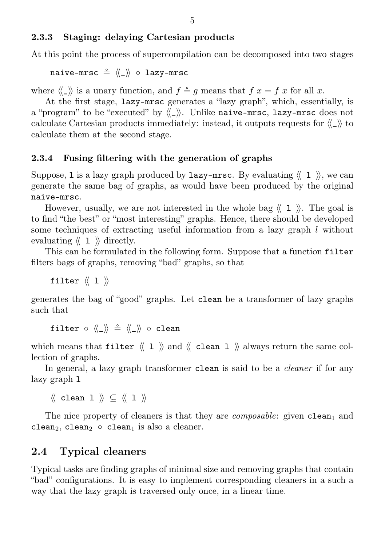#### 2.3.3 Staging: delaying Cartesian products

At this point the process of supercompilation can be decomposed into two stages

naive-mrsc  $\stackrel{\circ}{=} \langle \langle \rangle \rangle$  ∘ lazy-mrsc

where  $\langle \langle \rangle \rangle$  is a unary function, and  $f \stackrel{\circ}{=} q$  means that  $f x = f x$  for all x.

At the first stage, lazy-mrsc generates a "lazy graph", which, essentially, is a "program" to be "executed" by  $\langle \langle \rangle$ . Unlike naive-mrsc, lazy-mrsc does not calculate Cartesian products immediately: instead, it outputs requests for  $\langle \langle \rangle \rangle$  to calculate them at the second stage.

#### 2.3.4 Fusing filtering with the generation of graphs

Suppose, 1 is a lazy graph produced by  $l$ azy-mrsc. By evaluating  $\langle \langle 1 \rangle \rangle$ , we can generate the same bag of graphs, as would have been produced by the original naive-mrsc.

However, usually, we are not interested in the whole bag  $\langle \langle 1 \rangle \rangle$ . The goal is to find "the best" or "most interesting" graphs. Hence, there should be developed some techniques of extracting useful information from a lazy graph  $l$  without evaluating  $\langle \langle 1 \rangle \rangle$  directly.

This can be formulated in the following form. Suppose that a function filter filters bags of graphs, removing "bad" graphs, so that

filter  $\langle\langle 1 \rangle \rangle$ 

generates the bag of "good" graphs. Let clean be a transformer of lazy graphs such that

filter ∘ « i i i « i » clean

which means that filter  $\langle \langle 1 \rangle \rangle$  and  $\langle \langle$  clean 1  $\rangle \rangle$  always return the same collection of graphs.

In general, a lazy graph transformer clean is said to be a *cleaner* if for any lazy graph l

 $\langle\langle$  clean 1  $\rangle\rangle \subset \langle\langle$  1  $\rangle\rangle$ 

The nice property of cleaners is that they are *composable*: given  $clean_1$  and clean<sub>2</sub>, clean<sub>2</sub> ∘ clean<sub>1</sub> is also a cleaner.

#### <span id="page-5-0"></span>2.4 Typical cleaners

Typical tasks are finding graphs of minimal size and removing graphs that contain "bad" configurations. It is easy to implement corresponding cleaners in a such a way that the lazy graph is traversed only once, in a linear time.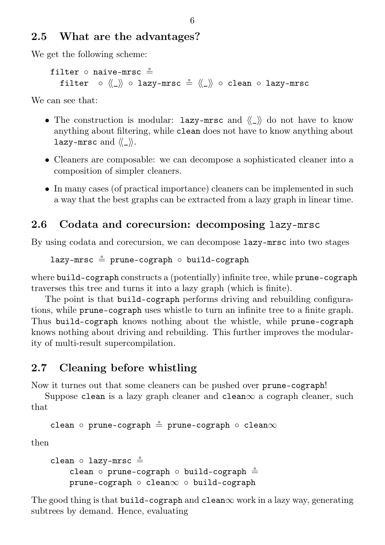### <span id="page-6-0"></span>2.5 What are the advantages?

We get the following scheme:

```
filter ∘ naive-mrsc ≗
 filter ∘ ⟨⟨_⟩⟩ ∘ lazy-mrsc $ ⟨⟨_⟩⟩ ∘ clean ∘ lazy-mrsc
```
We can see that:

- ∙ The construction is modular: lazy-mrsc and ⟨⟨\_⟩⟩ do not have to know anything about filtering, while clean does not have to know anything about lazy-mrsc and  $\langle\langle \rangle \rangle$ .
- ∙ Cleaners are composable: we can decompose a sophisticated cleaner into a composition of simpler cleaners.
- ∙ In many cases (of practical importance) cleaners can be implemented in such a way that the best graphs can be extracted from a lazy graph in linear time.

## <span id="page-6-1"></span>2.6 Codata and corecursion: decomposing lazy-mrsc

By using codata and corecursion, we can decompose lazy-mrsc into two stages

lazy-mrsc = prune-cograph ∘ build-cograph

where build-cograph constructs a (potentially) infinite tree, while prune-cograph traverses this tree and turns it into a lazy graph (which is finite).

The point is that build-cograph performs driving and rebuilding configurations, while prune-cograph uses whistle to turn an infinite tree to a finite graph. Thus build-cograph knows nothing about the whistle, while prune-cograph knows nothing about driving and rebuilding. This further improves the modularity of multi-result supercompilation.

## <span id="page-6-2"></span>2.7 Cleaning before whistling

Now it turnes out that some cleaners can be pushed over prune-cograph!

Suppose clean is a lazy graph cleaner and clean $\infty$  a cograph cleaner, such that

```
clean ∘ prune-cograph = prune-cograph ∘ clean∞
```
then

```
clean ∘ lazy-mrsc ≗
    clean ∘ prune-cograph ∘ build-cograph \stackrel{\circ}{=}prune-cograph ∘ clean∞ ∘ build-cograph
```
The good thing is that build-cograph and clean $\infty$  work in a lazy way, generating subtrees by demand. Hence, evaluating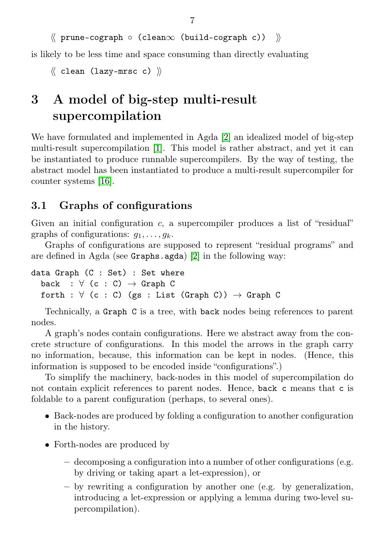```
⟨⟨ prune-cograph ∘ (clean∞ (build-cograph c)) ⟩⟩
```
is likely to be less time and space consuming than directly evaluating

```
\langle\langle clean (lazy-mrsc c) \rangle
```
# <span id="page-7-0"></span>3 A model of big-step multi-result supercompilation

We have formulated and implemented in Agda [\[2\]](#page-24-4) an idealized model of big-step multi-result supercompilation [\[1\]](#page-24-5). This model is rather abstract, and yet it can be instantiated to produce runnable supercompilers. By the way of testing, the abstract model has been instantiated to produce a multi-result supercompiler for counter systems [\[16\]](#page-25-8).

## <span id="page-7-1"></span>3.1 Graphs of configurations

Given an initial configuration c, a supercompiler produces a list of "residual" graphs of configurations:  $g_1, \ldots, g_k$ .

Graphs of configurations are supposed to represent "residual programs" and are defined in Agda (see Graphs.agda) [\[2\]](#page-24-4) in the following way:

```
data Graph (C : Set) : Set where
  back : \forall (c : C) \rightarrow Graph C
  forth : \forall (c : C) (gs : List (Graph C)) \rightarrow Graph C
```
Technically, a Graph C is a tree, with back nodes being references to parent nodes.

A graph's nodes contain configurations. Here we abstract away from the concrete structure of configurations. In this model the arrows in the graph carry no information, because, this information can be kept in nodes. (Hence, this information is supposed to be encoded inside "configurations".)

To simplify the machinery, back-nodes in this model of supercompilation do not contain explicit references to parent nodes. Hence, back c means that c is foldable to a parent configuration (perhaps, to several ones).

- ∙ Back-nodes are produced by folding a configuration to another configuration in the history.
- ∙ Forth-nodes are produced by
	- decomposing a configuration into a number of other configurations (e.g. by driving or taking apart a let-expression), or
	- $-$  by rewriting a configuration by another one (e.g. by generalization, introducing a let-expression or applying a lemma during two-level supercompilation).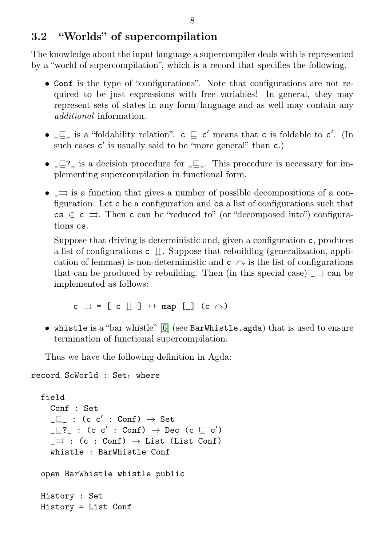### <span id="page-8-0"></span>3.2 "Worlds" of supercompilation

The knowledge about the input language a supercompiler deals with is represented by a "world of supercompilation", which is a record that specifies the following.

- ∙ Conf is the type of "configurations". Note that configurations are not required to be just expressions with free variables! In general, they may represent sets of states in any form/language and as well may contain any additional information.
- ∙ \_⊑\_ is a "foldability relation". c ⊑ c ′ means that c is foldable to c ′ . (In such cases  $c'$  is usually said to be "more general" than  $c$ .)
- ∙ \_⊑?\_ is a decision procedure for \_⊑\_. This procedure is necessary for implementing supercompilation in functional form.
- ∙ \_⇒ is a function that gives a number of possible decompositions of a configuration. Let c be a configuration and cs a list of configurations such that  $cs \in c \implies$ . Then c can be "reduced to" (or "decomposed into") configurations cs.

Suppose that driving is deterministic and, given a configuration c, produces a list of configurations  $c \parallel$ . Suppose that rebuilding (generalization, application of lemmas) is non-deterministic and  $c \curvearrowright$  is the list of configurations that can be produced by rebuilding. Then (in this special case)  $\Rightarrow$  can be implemented as follows:

 $c \implies$  = [ c || ] ++ map [ ] (c  $\curvearrowright$ )

∙ whistle is a "bar whistle" [\[6\]](#page-24-6) (see BarWhistle.agda) that is used to ensure termination of functional supercompilation.

Thus we have the following definition in Agda:

```
record ScWorld : Set<sub>1</sub> where
  field
     Conf : Set
     \lrcorner \sqsubseteq_ - : (c \ c' : Conf) \rightarrow Set\lrcorner \sqsubseteq ? : (c c': Conf) \rightarrow Dec (c \sqsubseteq c')
     \Rightarrow : (c : Conf) \rightarrow List (List Conf)
     whistle : BarWhistle Conf
  open BarWhistle whistle public
  History : Set
  History = List Conf
```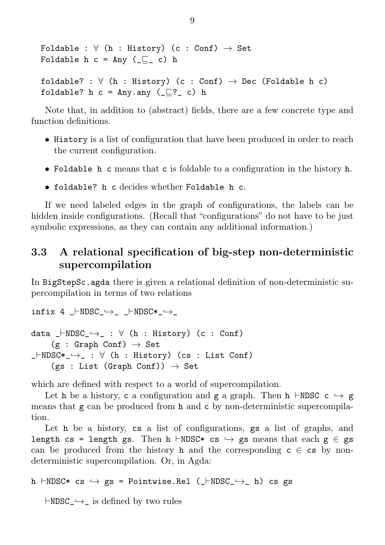```
Foldable : \forall (h : History) (c : Conf) \rightarrow Set
Foldable h c = Any (\sqsubseteq c) h
foldable? : \forall (h : History) (c : Conf) \rightarrow Dec (Foldable h c)
foldable? h c = Any.any (\sqsubset? c) h
```
Note that, in addition to (abstract) fields, there are a few concrete type and function definitions.

- ∙ History is a list of configuration that have been produced in order to reach the current configuration.
- ∙ Foldable h c means that c is foldable to a configuration in the history h.
- ∙ foldable? h c decides whether Foldable h c.

If we need labeled edges in the graph of configurations, the labels can be hidden inside configurations. (Recall that "configurations" do not have to be just symbolic expressions, as they can contain any additional information.)

## <span id="page-9-0"></span>3.3 A relational specification of big-step non-deterministic supercompilation

In BigStepSc.agda there is given a relational definition of non-deterministic supercompilation in terms of two relations

```
infix 4 _ \vdashNDSC_\hookrightarrow _ \vdashNDSC* \hookrightarrowdata _⊢NDSC_˓→_ : ∀ (h : History) (c : Conf)
     (g : Graph Conf) \rightarrow Set_⊢NDSC*_˓→_ : ∀ (h : History) (cs : List Conf)
     (gs : List (Graph Conf)) \rightarrow Set
```
which are defined with respect to a world of supercompilation.

Let h be a history, c a configuration and g a graph. Then h ⊢NDSC c  $\rightarrow$  g means that  $g$  can be produced from  $h$  and  $c$  by non-deterministic supercompilation.

Let h be a history, cs a list of configurations, gs a list of graphs, and length cs = length gs. Then h ⊢NDSC\* cs  $\hookrightarrow$  gs means that each g  $\in$  gs can be produced from the history h and the corresponding  $c \in \text{cs}$  by nondeterministic supercompilation. Or, in Agda:

```
h ⊢NDSC* cs ˓→ gs = Pointwise.Rel (_⊢NDSC_˓→_ h) cs gs
```
⊢NDSC\_˓→\_ is defined by two rules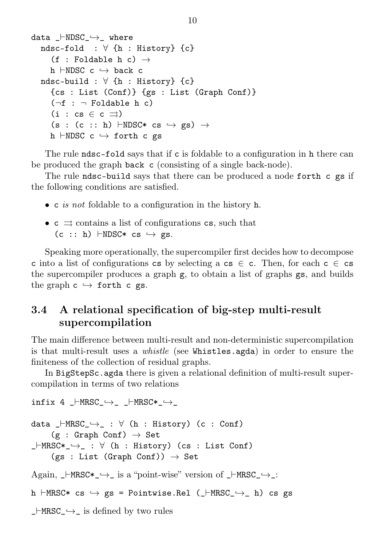```
data _⊢NDSC_˓→_ where
  ndsc-fold : \forall {h : History} {c}
     (f : Foldable h c) \rightarrowh \vdashNDSC c \hookrightarrow back c
  ndsc-build : ∀ {h : History} {c}
    {cs : List (Conf)} {gs : List (Graph Conf)}
     (\neg f : \neg Foldable h c)
     (i : cs \in c \implies)(s : (c :: h) ⊢NDSC* cs \hookrightarrow gs) \rightarrowh ⊢NDSC c ˓→ forth c gs
```
The rule ndsc-fold says that if c is foldable to a configuration in h there can be produced the graph back c (consisting of a single back-node).

The rule ndsc-build says that there can be produced a node forth c gs if the following conditions are satisfied.

- ∙ c is not foldable to a configuration in the history h.
- ∙ c ⇒ contains a list of configurations cs, such that  $(c :: h)$  ⊢NDSC\* cs  $\hookrightarrow$  gs.

Speaking more operationally, the supercompiler first decides how to decompose c into a list of configurations cs by selecting a cs  $\in$  c. Then, for each c  $\in$  cs the supercompiler produces a graph g, to obtain a list of graphs gs, and builds the graph  $c \leftrightarrow$  forth c gs.

### <span id="page-10-0"></span>3.4 A relational specification of big-step multi-result supercompilation

The main difference between multi-result and non-deterministic supercompilation is that multi-result uses a whistle (see Whistles.agda) in order to ensure the finiteness of the collection of residual graphs.

In BigStepSc.agda there is given a relational definition of multi-result supercompilation in terms of two relations

```
\text{infix 4} |\text{-MRSC}\rightarrow| |\text{MRSC*}\rightarrow|data _⊢MRSC_˓→_ : ∀ (h : History) (c : Conf)
     (g : Graph Conf) \rightarrow Set_⊢MRSC*_˓→_ : ∀ (h : History) (cs : List Conf)
     (gs : List (Graph Conf)) \rightarrow SetAgain, _⊢MRSC*_↔_ is a "point-wise" version of _⊢MRSC_↔_:
h ⊢MRSC* cs ˓→ gs = Pointwise.Rel (_⊢MRSC_˓→_ h) cs gs
_⊢MRSC_˓→_ is defined by two rules
```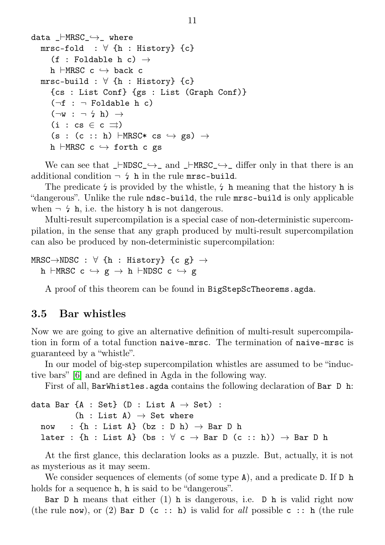```
data _⊢MRSC_˓→_ where
  mrsc-fold : \forall {h : History} {c}
      (f : Foldable h c) \rightarrowh \vdashMRSC c \hookrightarrow back c
  mrsc-build : \forall {h : History} {c}
     {cs : List Conf} {gs : List (Graph Conf)}
      (\neg f : \neg Foldable h c)
      (\neg w : \neg \varphi h) \rightarrow(i : cs \in c \rightrightarrows)(s : (c :: h) \vdashMRSC* cs \hookrightarrow gs) \rightarrowh \vdashMRSC c \hookrightarrow forth c gs
```
We can see that  $\_\text{FNDSC}\rightarrow \_\text{and}\_\text{FNRSC}\rightarrow \_\text{differ only in that there is an}$ additional condition  $\neg \frac{1}{4}$  h in the rule mrsc-build.

The predicate  $\frac{1}{2}$  is provided by the whistle,  $\frac{1}{2}$  h meaning that the history h is "dangerous". Unlike the rule ndsc-build, the rule mrsc-build is only applicable when  $\neg \xi$  h, i.e. the history h is not dangerous.

Multi-result supercompilation is a special case of non-deterministic supercompilation, in the sense that any graph produced by multi-result supercompilation can also be produced by non-deterministic supercompilation:

```
MRSC\rightarrowNDSC : \forall {h : History} {c g} \rightarrowh ⊢MRSC c \hookrightarrow g \rightarrow h ⊢NDSC c \hookrightarrow g
```
A proof of this theorem can be found in BigStepScTheorems.agda.

#### <span id="page-11-0"></span>3.5 Bar whistles

Now we are going to give an alternative definition of multi-result supercompilation in form of a total function naive-mrsc. The termination of naive-mrsc is guaranteed by a "whistle".

In our model of big-step supercompilation whistles are assumed to be "inductive bars" [\[6\]](#page-24-6) and are defined in Agda in the following way.

First of all, BarWhistles.agda contains the following declaration of Bar D h:

```
data Bar {A : Set} (D : List A \rightarrow Set) :
            (h : List A) \rightarrow Set where
  now : \{h : \text{List } A\} (bz : D h) \rightarrow \text{Bar } D hlater : {h : List A} (bs : \forall c \rightarrow Bar D (c :: h)) \rightarrow Bar D h
```
At the first glance, this declaration looks as a puzzle. But, actually, it is not as mysterious as it may seem.

We consider sequences of elements (of some type A), and a predicate D. If D h holds for a sequence **h**, **h** is said to be "dangerous".

Bar D h means that either  $(1)$  h is dangerous, i.e. D h is valid right now (the rule now), or (2) Bar D (c :: h) is valid for all possible c :: h (the rule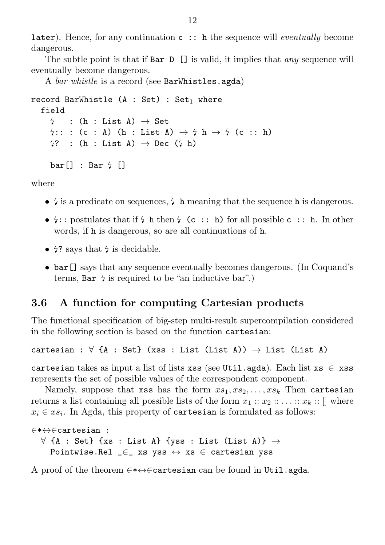**later**). Hence, for any continuation  $c :$ : h the sequence will *eventually* become dangerous.

The subtle point is that if Bar D [] is valid, it implies that *any* sequence will eventually become dangerous.

A bar whistle is a record (see BarWhistles.agda)

```
record BarWhistle (A : Set) : Set<sub>1</sub> where
   field
      \frac{1}{2} : (h : List A) \rightarrow Set
      \frac{1}{2}: : (c : A) (h : List A) \rightarrow \frac{1}{2} h \rightarrow \frac{1}{2} (c :: h)
      \frac{1}{2} : (h : List A) \rightarrow Dec (\frac{1}{2} h)
      bar[] : Bar 4 []
```
where

- <sup>∙</sup> is a predicate on sequences, <sup>h</sup> meaning that the sequence <sup>h</sup> is dangerous.
- $\frac{1}{2}$ : postulates that if  $\frac{1}{2}$  h then  $\frac{1}{2}$  (c :: h) for all possible c :: h. In other words, if h is dangerous, so are all continuations of h.
- 4? says that 4 is decidable.
- ∙ bar[] says that any sequence eventually becomes dangerous. (In Coquand's terms, Bar  $\frac{1}{2}$  is required to be "an inductive bar".)

#### <span id="page-12-0"></span>3.6 A function for computing Cartesian products

The functional specification of big-step multi-result supercompilation considered in the following section is based on the function cartesian:

cartesian :  $\forall$  {A : Set} (xss : List (List A))  $\rightarrow$  List (List A)

cartesian takes as input a list of lists xss (see Util.agda). Each list  $x s \in x s s$ represents the set of possible values of the correspondent component.

Namely, suppose that xss has the form  $xs_1, xs_2, \ldots, xs_k$ . Then cartesian returns a list containing all possible lists of the form  $x_1 :: x_2 :: \ldots :: x_k :: \lceil \rceil$  where  $x_i \in xs_i$ . In Agda, this property of cartesian is formulated as follows:

```
∈*↔∈cartesian :
  ∀ {A : Set} {xs : List A} {yss : List (List A)} →
    Pointwise.Rel \subseteq xs yss \leftrightarrow xs \in cartesian yss
```
A proof of the theorem ∈\*↔∈cartesian can be found in Util.agda.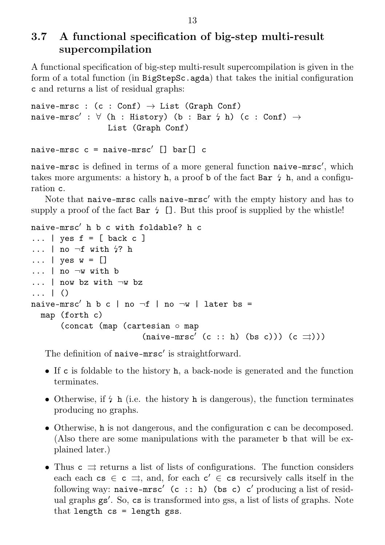### <span id="page-13-0"></span>3.7 A functional specification of big-step multi-result supercompilation

A functional specification of big-step multi-result supercompilation is given in the form of a total function (in BigStepSc.agda) that takes the initial configuration c and returns a list of residual graphs:

```
naive-mrsc : (c : Conf) \rightarrow List (Graph Conf)naive-mrsc' : \forall (h : History) (b : Bar \frac{1}{2} h) (c : Conf) \rightarrowList (Graph Conf)
```

```
naive-mrsc c = naive-mrsc' [] bar[] c
```
naive-mrsc is defined in terms of a more general function naive-mrsc′ , which takes more arguments: a history h, a proof b of the fact Bar  $\frac{1}{4}$  h, and a configuration c.

Note that naive-mrsc calls naive-mrsc′ with the empty history and has to supply a proof of the fact Bar  $\frac{1}{2}$ . But this proof is supplied by the whistle!

```
naive-mrsc′ h b c with foldable? h c
\ldots | yes f = \lceil back c ]
\ldots | no \negf with 4? h
\ldots | yes w = []... | no ¬w with b
... | now bz with ¬w bz
... | ()
naive-mrsc' h b c | no \negf | no \negw | later bs =
  map (forth c)
       (concat (map (cartesian ∘ map
                            (n \text{alive} - \text{mrsc}' (c :: h) (bs c))) (c \implies)))
```
The definition of naive-mrsc′ is straightforward.

- ∙ If c is foldable to the history h, a back-node is generated and the function terminates.
- Otherwise, if  $\frac{1}{2}$  h (i.e. the history h is dangerous), the function terminates producing no graphs.
- ∙ Otherwise, h is not dangerous, and the configuration c can be decomposed. (Also there are some manipulations with the parameter b that will be explained later.)
- ∙ Thus c ⇒ returns a list of lists of configurations. The function considers each each  $cs \in c \implies$ , and, for each  $c' \in cs$  recursively calls itself in the following way: naive-mrsc' (c :: h) (bs c) c' producing a list of residual graphs gs′ . So, cs is transformed into gss, a list of lists of graphs. Note that length cs = length gss.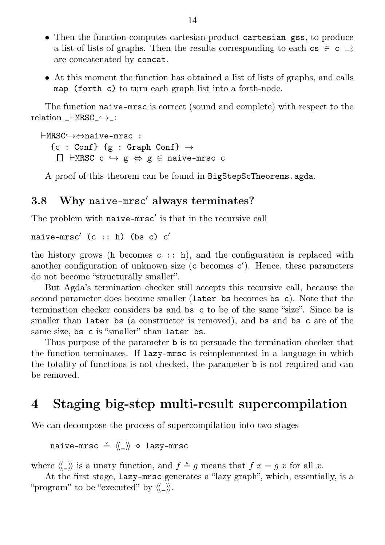- ∙ Then the function computes cartesian product cartesian gss, to produce a list of lists of graphs. Then the results corresponding to each cs  $\in$  c  $\Rightarrow$ are concatenated by concat.
- ∙ At this moment the function has obtained a list of lists of graphs, and calls map (forth c) to turn each graph list into a forth-node.

The function naive-mrsc is correct (sound and complete) with respect to the relation \_⊢MRSC\_˓→\_:

⊢MRSC˓→⇔naive-mrsc :  ${c : Conf}$   ${g : Graph Conf}$   $\rightarrow$ []  $\vdash$ MRSC c  $\hookrightarrow$  g  $\Leftrightarrow$  g  $\in$  naive-mrsc c

A proof of this theorem can be found in BigStepScTheorems.agda.

#### <span id="page-14-0"></span>3.8 Why naive-mrsc′ always terminates?

The problem with naive-mrsc′ is that in the recursive call

naive-mrsc'  $(c :: h)$  (bs c)  $c'$ 

the history grows (h becomes  $c :$ : h), and the configuration is replaced with another configuration of unknown size (c becomes c'). Hence, these parameters do not become "structurally smaller".

But Agda's termination checker still accepts this recursive call, because the second parameter does become smaller (later bs becomes bs c). Note that the termination checker considers bs and bs c to be of the same "size". Since bs is smaller than later bs (a constructor is removed), and bs and bs c are of the same size, bs c is "smaller" than later bs.

Thus purpose of the parameter b is to persuade the termination checker that the function terminates. If lazy-mrsc is reimplemented in a language in which the totality of functions is not checked, the parameter b is not required and can be removed.

## <span id="page-14-1"></span>4 Staging big-step multi-result supercompilation

We can decompose the process of supercompilation into two stages

naive-mrsc  $\stackrel{\circ}{=} \langle \langle \_ \rangle \rangle$  ∘ lazy-mrsc

where  $\langle \langle \rangle \rangle$  is a unary function, and  $f \stackrel{\circ}{=} q$  means that  $f x = q x$  for all x.

At the first stage, lazy-mrsc generates a "lazy graph", which, essentially, is a "program" to be "executed" by  $\langle \langle \rangle \rangle$ .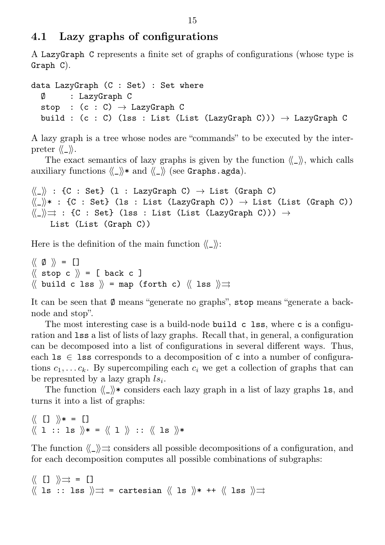#### <span id="page-15-0"></span>4.1 Lazy graphs of configurations

A LazyGraph C represents a finite set of graphs of configurations (whose type is Graph C).

```
data LazyGraph (C : Set) : Set where
  Ø : LazyGraph C
  stop : (c : C) \rightarrow LazyGraph C
  build : (c : C) (lss : List (List (LazyGraph C))) \rightarrow LazyGraph C
```
A lazy graph is a tree whose nodes are "commands" to be executed by the interpreter  $\langle\langle \rangle \rangle$ .

The exact semantics of lazy graphs is given by the function  $\langle \rangle$ , which calls auxiliary functions  $\langle\langle \rangle \rangle$  and  $\langle\langle \rangle \rangle$  (see Graphs.agda).

```
\langle\langle \_\rangle\rangle : {C : Set} (1 : LazyGraph C) \rightarrow List (Graph C)
\langle\langle \_\rangle \rangle^* : {C : Set} (ls : List (LazyGraph C)) \rightarrow List (List (Graph C))
\langle\langle \rangle \rangle : {C : Set} (lss : List (List (LazyGraph C))) \rightarrowList (List (Graph C))
```
Here is the definition of the main function  $\langle \langle \rangle \rangle$ :

 $\langle\langle \emptyset \rangle \rangle = [$  $\langle\langle$  stop c  $\rangle\rangle$  = [ back c ]  $\langle\langle$  build c lss  $\rangle\rangle$  = map (forth c)  $\langle\langle$  lss  $\rangle\rangle \Rightarrow$ 

It can be seen that Ø means "generate no graphs", stop means "generate a backnode and stop".

The most interesting case is a build-node build c lss, where c is a configuration and lss a list of lists of lazy graphs. Recall that, in general, a configuration can be decomposed into a list of configurations in several different ways. Thus, each  $\text{ls} \in \text{ls}$  corresponds to a decomposition of c into a number of configurations  $c_1, \ldots c_k$ . By supercompiling each  $c_i$  we get a collection of graphs that can be represnted by a lazy graph  $ls_i$ .

The function  $\langle \langle \rangle \rangle$  considers each lazy graph in a list of lazy graphs 1s, and turns it into a list of graphs:

```
\langle\langle [] \rangle* = []
\langle\!\langle 1 :: ls \rangle\!\rangle* = \langle\!\langle 1 \rangle\!\rangle :: \langle\!\langle ls \rangle\!\rangle*
```
The function  $\langle \rangle \rangle$   $\Rightarrow$  considers all possible decompositions of a configuration, and for each decomposition computes all possible combinations of subgraphs:

```
⟨⟨ [] ⟩⟩⇒ = []
\langle\langle ls :: lss \rangle\rangle \Rightarrow = cartesian \langle\langle ls \rangle\rangle \ast ++ \langle\langle lss \rangle\rangle \Rightarrow
```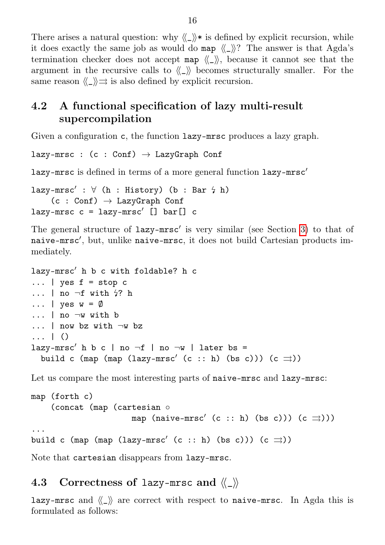There arises a natural question: why  $\langle \rangle$  is defined by explicit recursion, while it does exactly the same job as would do map  $\langle \langle \rangle \rangle$ ? The answer is that Agda's termination checker does not accept map  $\langle \langle \rangle \rangle$ , because it cannot see that the argument in the recursive calls to  $\langle \langle \rangle \rangle$  becomes structurally smaller. For the same reason  $\langle \rangle \rangle \Rightarrow$  is also defined by explicit recursion.

## <span id="page-16-0"></span>4.2 A functional specification of lazy multi-result supercompilation

Given a configuration c, the function lazy-mrsc produces a lazy graph.

```
lazy-mrsc : (c : Conf) \rightarrow LazyGraph Conf
```
lazy-mrsc is defined in terms of a more general function lazy-mrsc′

```
lazy-mrsc' : \forall (h : History) (b : Bar \forall h)
     (c : Conf) \rightarrow LazyGraph Conflazy-mrsc c = lazy-mrsc' [] bar[] c
```
The general structure of lazy-mrsc′ is very similar (see Section [3\)](#page-7-0) to that of naive-mrsc′ , but, unlike naive-mrsc, it does not build Cartesian products immediately.

```
lazy-mrsc′ h b c with foldable? h c
\ldots | yes f = stop c
... | no \negf with \frac{1}{2}? h
\ldots | yes w = \emptyset... | no ¬w with b
... | now bz with ¬w bz
... | ()
lazy-mrsc' h b c | no \negf | no \negw | later bs =
  build c (map (map (lazy-mrsc' (c :: h) (bs c))) (c \Rightarrow))
```
Let us compare the most interesting parts of naive-mrsc and lazy-mrsc:

```
map (forth c)
    (concat (map (cartesian ∘
                        map (naive-mrsc' (c :: h) (bs c))) (c \implies)))
...
build c (map (map (lazy-mrsc' (c :: h) (bs c))) (c \Rightarrow))
```
Note that cartesian disappears from lazy-mrsc.

#### <span id="page-16-1"></span>4.3 Correctness of lazy-mrsc and  $\langle \langle \rangle \rangle$

lazy-mrsc and  $\langle \rangle$  are correct with respect to naive-mrsc. In Agda this is formulated as follows: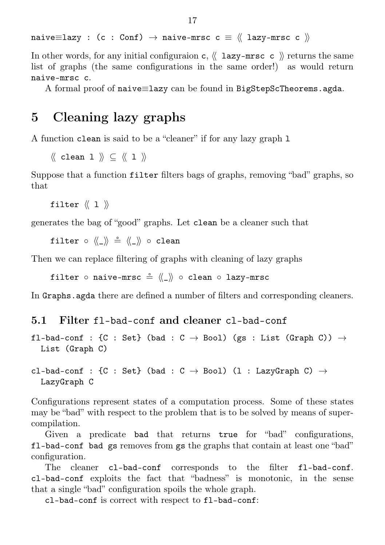naive $\equiv$ lazy : (c : Conf)  $\rightarrow$  naive-mrsc c  $\equiv$   $\langle\langle$  lazy-mrsc c  $\rangle\rangle$ 

In other words, for any initial configuration c,  $\langle \langle \text{lazy-mrsc } c \rangle \rangle$  returns the same list of graphs (the same configurations in the same order!) as would return naive-mrsc c.

A formal proof of naive≡lazy can be found in BigStepScTheorems.agda.

## <span id="page-17-0"></span>5 Cleaning lazy graphs

A function clean is said to be a "cleaner" if for any lazy graph l

 $\langle\langle$  clean 1  $\rangle\rangle \subset \langle\langle$  1  $\rangle\rangle$ 

Suppose that a function filter filters bags of graphs, removing "bad" graphs, so that

filter  $\langle\langle 1 \rangle \rangle$ 

generates the bag of "good" graphs. Let clean be a cleaner such that

filter ∘ 《\_》 ≗ 《\_》 ∘ clean

Then we can replace filtering of graphs with cleaning of lazy graphs

filter ∘ naive-mrsc  $\stackrel{\circ}{=} \langle \langle \_ \rangle \rangle$  ∘ clean ∘ lazy-mrsc

In Graphs.agda there are defined a number of filters and corresponding cleaners.

#### <span id="page-17-1"></span>5.1 Filter fl-bad-conf and cleaner cl-bad-conf

fl-bad-conf : {C : Set} (bad : C  $\rightarrow$  Bool) (gs : List (Graph C))  $\rightarrow$ List (Graph C)

#### cl-bad-conf : {C : Set} (bad : C  $\rightarrow$  Bool) (l : LazyGraph C)  $\rightarrow$ LazyGraph C

Configurations represent states of a computation process. Some of these states may be "bad" with respect to the problem that is to be solved by means of supercompilation.

Given a predicate bad that returns true for "bad" configurations, fl-bad-conf bad gs removes from gs the graphs that contain at least one "bad" configuration.

The cleaner c1-bad-conf corresponds to the filter f1-bad-conf. cl-bad-conf exploits the fact that "badness" is monotonic, in the sense that a single "bad" configuration spoils the whole graph.

cl-bad-conf is correct with respect to fl-bad-conf: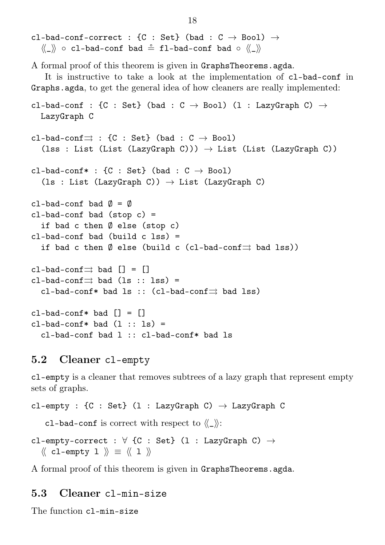cl-bad-conf-correct : {C : Set} (bad :  $C \rightarrow$  Bool)  $\rightarrow$ ⟨⟨\_⟩⟩ ∘ cl-bad-conf bad \$ fl-bad-conf bad ∘ ⟨⟨\_⟩⟩ A formal proof of this theorem is given in GraphsTheorems.agda. It is instructive to take a look at the implementation of cl-bad-conf in Graphs.agda, to get the general idea of how cleaners are really implemented: cl-bad-conf : {C : Set} (bad : C  $\rightarrow$  Bool) (l : LazyGraph C)  $\rightarrow$ LazyGraph C cl-bad-conf $\Rightarrow$  : {C : Set} (bad : C  $\rightarrow$  Bool) (lss : List (List (LazyGraph C)))  $\rightarrow$  List (List (LazyGraph C)) cl-bad-conf\* : {C : Set} (bad :  $C \rightarrow$  Bool) (ls : List (LazyGraph C))  $\rightarrow$  List (LazyGraph C) cl-bad-conf bad  $\emptyset = \emptyset$  $cl$ -bad-conf bad (stop  $c$ ) = if bad c then Ø else (stop c) cl-bad-conf bad (build c lss) = if bad c then  $\emptyset$  else (build c (cl-bad-conf $\rightrightarrows$  bad lss)) cl-bad-conf $\Rightarrow$  bad  $[] = []$ cl-bad-conf $\Rightarrow$  bad (ls :: lss) = cl-bad-conf\* bad ls :: (cl-bad-conf $\Rightarrow$  bad lss)  $cl$ -bad-conf\* bad  $\lceil$  =  $\lceil$  $cl$ -bad-conf\* bad  $(l :: ls)$  = cl-bad-conf bad l :: cl-bad-conf\* bad ls

#### <span id="page-18-0"></span>5.2 Cleaner cl-empty

cl-empty is a cleaner that removes subtrees of a lazy graph that represent empty sets of graphs.

```
cl-empty : {C : Set} (1 : LazyGraph C) \rightarrow LazyGraph C
    cl-bad-conf is correct with respect to \langle \rangle):
cl-empty-correct : \forall {C : Set} (1 : LazyGraph C) \rightarrow\langle\langle cl-empty 1 \rangle\rangle \equiv \langle\langle 1 \rangle\rangle
```
A formal proof of this theorem is given in GraphsTheorems.agda.

#### <span id="page-18-1"></span>5.3 Cleaner cl-min-size

The function cl-min-size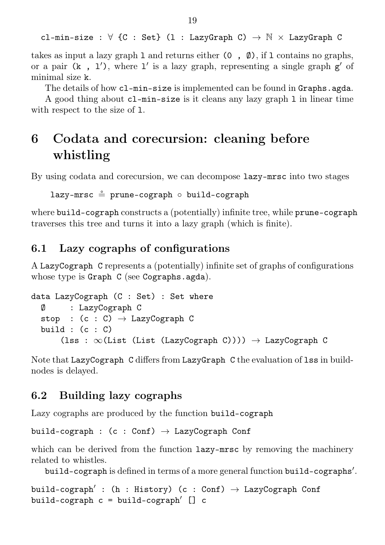cl-min-size :  $\forall$  {C : Set} (1 : LazyGraph C)  $\rightarrow$  N  $\times$  LazyGraph C

takes as input a lazy graph 1 and returns either  $(0, \emptyset)$ , if 1 contains no graphs, or a pair  $(k, 1')$ , where  $1'$  is a lazy graph, representing a single graph  $g'$  of minimal size k.

The details of how cl-min-size is implemented can be found in Graphs.agda.

A good thing about cl-min-size is it cleans any lazy graph l in linear time with respect to the size of 1.

# <span id="page-19-0"></span>6 Codata and corecursion: cleaning before whistling

By using codata and corecursion, we can decompose lazy-mrsc into two stages

lazy-mrsc = prune-cograph ∘ build-cograph

where build-cograph constructs a (potentially) infinite tree, while prune-cograph traverses this tree and turns it into a lazy graph (which is finite).

#### <span id="page-19-1"></span>6.1 Lazy cographs of configurations

A LazyCograph C represents a (potentially) infinite set of graphs of configurations whose type is Graph C (see Cographs.agda).

```
data LazyCograph (C : Set) : Set where
  Ø : LazyCograph C
  stop : (c : C) \rightarrow LazyCograph C
  build : (c : C)(lss : \infty(List (List (LazyCograph C)))) \rightarrow LazyCograph C
```
Note that LazyCograph C differs from LazyGraph C the evaluation of lss in buildnodes is delayed.

#### <span id="page-19-2"></span>6.2 Building lazy cographs

Lazy cographs are produced by the function build-cograph

```
build-cograph : (c : Conf) \rightarrow LazyCograph Conf
```
which can be derived from the function  $lazy-mrsc$  by removing the machinery related to whistles.

build-cograph is defined in terms of a more general function build-cographs′ .

build-cograph' : (h : History) (c : Conf)  $\rightarrow$  LazyCograph Conf build-cograph c = build-cograph′ [] c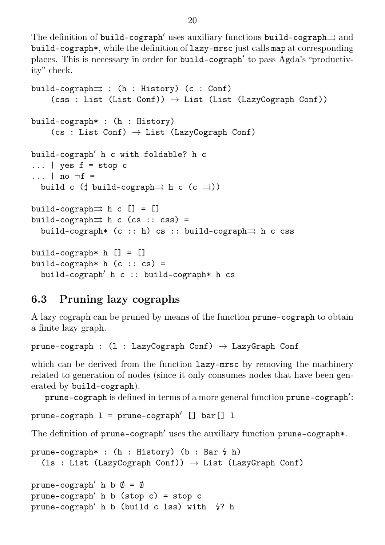The definition of build-cograph′ uses auxiliary functions build-cograph $\Rightarrow$  and build-cograph\*, while the definition of lazy-mrsc just calls map at corresponding places. This is necessary in order for build-cograph′ to pass Agda's "productivity" check.

```
build-cograph\Rightarrow : (h : History) (c : Conf)
     (\text{css : List (List Conf)}) \rightarrow \text{List (List (LazyCograph Conf)})build-cograph* : (h : History)
     (cos : List Conf) \rightarrow List (LazyCograph Conf)build-cograph′ h c with foldable? h c
\ldots | yes f = stop c\ldots | no \negf =
  build c (\sharp build-cograph\rightrightarrows h c (c \rightrightarrows))
build-cograph\Rightarrow h c [] = []
build-cograph\Rightarrow h c (cs :: css) =
  build-cograph* (c :: h) cs :: build-cograph\Rightarrow h c css
build-cograph* h [] = []build-cograph* h (c :: cs) =build-cograph′ h c :: build-cograph* h cs
```
### <span id="page-20-0"></span>6.3 Pruning lazy cographs

A lazy cograph can be pruned by means of the function prune-cograph to obtain a finite lazy graph.

prune-cograph :  $(1 : \text{LazyCograph Conf}) \rightarrow \text{LazyGraph Conf}$ 

which can be derived from the function **lazy-mrsc** by removing the machinery related to generation of nodes (since it only consumes nodes that have been generated by build-cograph).

prune-cograph is defined in terms of a more general function prune-cograph′ :

```
prune-cograph l = prune-cograph' [] bar[] l
```
The definition of prune-cograph′ uses the auxiliary function prune-cograph\*.

```
prune-cograph* : (h : History) (b : Barr \nmid h)(1s : List (LazyCograph Conf)) \rightarrow List (LazyGraph Conf)
```

```
prune-cograph<sup>'</sup> h b \emptyset = \emptysetprune-cograph<sup>'</sup> h b (stop c) = stop c
prune-cograph' h b (build c lss) with \frac{1}{2}? h
```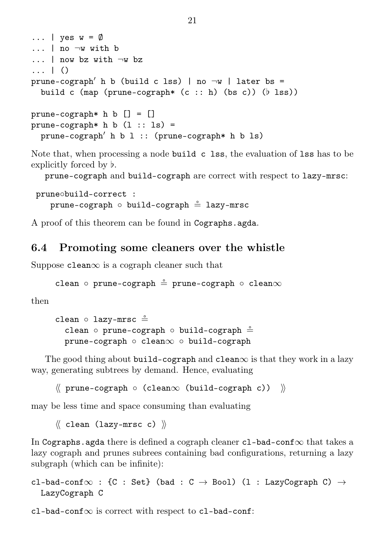```
\ldots | yes w = \emptyset\ldots | no \negw with b
... | now bz with ¬w bz
... | ()
prune-cograph<sup>'</sup> h b (build c lss) | no \negw | later bs =
  build c (map (prune-cograph* (c :: h) (bs c)) (♭ lss))
prune-cograph* h b [] = []prune-cograph* h b (1:: 1s) =
```

```
prune-cograph<sup>\prime</sup> h b l :: (prune-cograph* h b ls)
```
Note that, when processing a node build c lss, the evaluation of lss has to be explicitly forced by ♭.

prune-cograph and build-cograph are correct with respect to lazy-mrsc:

```
prune∘build-correct :
   prune-cograph ∘ build-cograph = lazy-mrsc
```
A proof of this theorem can be found in Cographs.agda.

### <span id="page-21-0"></span>6.4 Promoting some cleaners over the whistle

Suppose  $clean \infty$  is a cograph cleaner such that

```
clean ∘ prune-cograph = prune-cograph ∘ clean∞
```
then

```
clean ∘ lazy-mrsc ≗
  clean ∘ prune-cograph ∘ build-cograph \stackrel{\circ}{=}prune-cograph ∘ clean∞ ∘ build-cograph
```
The good thing about build-cograph and clean $\infty$  is that they work in a lazy way, generating subtrees by demand. Hence, evaluating

```
⟨⟨ prune-cograph ∘ (clean∞ (build-cograph c)) ⟩⟩
```
may be less time and space consuming than evaluating

 $\langle\langle$  clean (lazy-mrsc c)  $\rangle\langle$ 

In Cographs.agda there is defined a cograph cleaner cl-bad-conf $\infty$  that takes a lazy cograph and prunes subrees containing bad configurations, returning a lazy subgraph (which can be infinite):

```
cl-bad-conf\infty : {C : Set} (bad : C \rightarrow Bool) (l : LazyCograph C) \rightarrowLazyCograph C
```
 $cl$ -bad-conf $\infty$  is correct with respect to cl-bad-conf: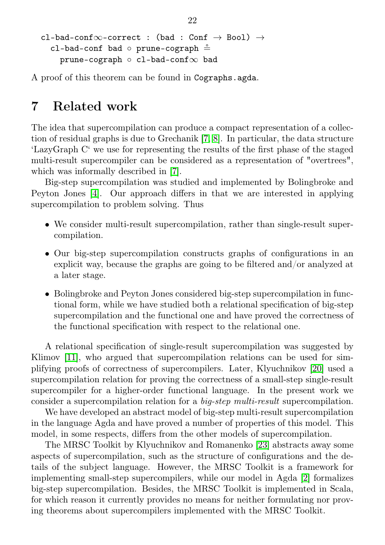```
cl-bad-conf\infty-correct : (bad : Conf \rightarrow Bool) \rightarrowcl-bad-conf bad ∘ prune-cograph \stackrel{\circ}{=}prune-cograph ∘ cl-bad-conf∞ bad
```
A proof of this theorem can be found in Cographs.agda.

## <span id="page-22-0"></span>7 Related work

The idea that supercompilation can produce a compact representation of a collection of residual graphs is due to Grechanik [\[7,](#page-24-7) [8\]](#page-24-8). In particular, the data structure 'LazyGraph C' we use for representing the results of the first phase of the staged multi-result supercompiler can be considered as a representation of "overtrees", which was informally described in [\[7\]](#page-24-7).

Big-step supercompilation was studied and implemented by Bolingbroke and Peyton Jones [\[4\]](#page-24-9). Our approach differs in that we are interested in applying supercompilation to problem solving. Thus

- ∙ We consider multi-result supercompilation, rather than single-result supercompilation.
- ∙ Our big-step supercompilation constructs graphs of configurations in an explicit way, because the graphs are going to be filtered and/or analyzed at a later stage.
- ∙ Bolingbroke and Peyton Jones considered big-step supercompilation in functional form, while we have studied both a relational specification of big-step supercompilation and the functional one and have proved the correctness of the functional specification with respect to the relational one.

A relational specification of single-result supercompilation was suggested by Klimov [\[11\]](#page-24-10), who argued that supercompilation relations can be used for simplifying proofs of correctness of supercompilers. Later, Klyuchnikov [\[20\]](#page-25-10) used a supercompilation relation for proving the correctness of a small-step single-result supercompiler for a higher-order functional language. In the present work we consider a supercompilation relation for a big-step multi-result supercompilation.

We have developed an abstract model of big-step multi-result supercompilation in the language Agda and have proved a number of properties of this model. This model, in some respects, differs from the other models of supercompilation.

The MRSC Toolkit by Klyuchnikov and Romanenko [\[23\]](#page-25-6) abstracts away some aspects of supercompilation, such as the structure of configurations and the details of the subject language. However, the MRSC Toolkit is a framework for implementing small-step supercompilers, while our model in Agda [\[2\]](#page-24-4) formalizes big-step supercompilation. Besides, the MRSC Toolkit is implemented in Scala, for which reason it currently provides no means for neither formulating nor proving theorems about supercompilers implemented with the MRSC Toolkit.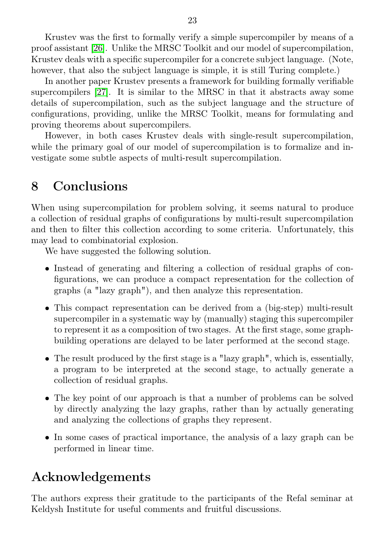Krustev was the first to formally verify a simple supercompiler by means of a proof assistant [\[26\]](#page-26-9). Unlike the MRSC Toolkit and our model of supercompilation, Krustev deals with a specific supercompiler for a concrete subject language. (Note, however, that also the subject language is simple, it is still Turing complete.)

In another paper Krustev presents a framework for building formally verifiable supercompilers [\[27\]](#page-26-10). It is similar to the MRSC in that it abstracts away some details of supercompilation, such as the subject language and the structure of configurations, providing, unlike the MRSC Toolkit, means for formulating and proving theorems about supercompilers.

However, in both cases Krustev deals with single-result supercompilation, while the primary goal of our model of supercompilation is to formalize and investigate some subtle aspects of multi-result supercompilation.

## <span id="page-23-0"></span>8 Conclusions

When using supercompilation for problem solving, it seems natural to produce a collection of residual graphs of configurations by multi-result supercompilation and then to filter this collection according to some criteria. Unfortunately, this may lead to combinatorial explosion.

We have suggested the following solution.

- ∙ Instead of generating and filtering a collection of residual graphs of configurations, we can produce a compact representation for the collection of graphs (a "lazy graph"), and then analyze this representation.
- ∙ This compact representation can be derived from a (big-step) multi-result supercompiler in a systematic way by (manually) staging this supercompiler to represent it as a composition of two stages. At the first stage, some graphbuilding operations are delayed to be later performed at the second stage.
- ∙ The result produced by the first stage is a "lazy graph", which is, essentially, a program to be interpreted at the second stage, to actually generate a collection of residual graphs.
- ∙ The key point of our approach is that a number of problems can be solved by directly analyzing the lazy graphs, rather than by actually generating and analyzing the collections of graphs they represent.
- ∙ In some cases of practical importance, the analysis of a lazy graph can be performed in linear time.

## Acknowledgements

The authors express their gratitude to the participants of the Refal seminar at Keldysh Institute for useful comments and fruitful discussions.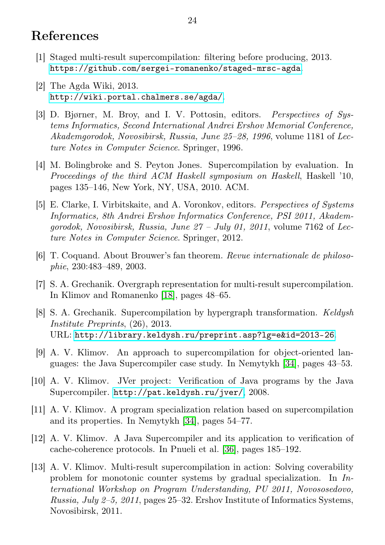## <span id="page-24-13"></span>References

- <span id="page-24-5"></span>[1] Staged multi-result supercompilation: filtering before producing, 2013. <https://github.com/sergei-romanenko/staged-mrsc-agda>.
- <span id="page-24-4"></span>[2] The Agda Wiki, 2013. <http://wiki.portal.chalmers.se/agda/>.
- <span id="page-24-12"></span>[3] D. Bjørner, M. Broy, and I. V. Pottosin, editors. Perspectives of Systems Informatics, Second International Andrei Ershov Memorial Conference, Akademgorodok, Novosibirsk, Russia, June 25–28, 1996, volume 1181 of Lecture Notes in Computer Science. Springer, 1996.
- <span id="page-24-9"></span>[4] M. Bolingbroke and S. Peyton Jones. Supercompilation by evaluation. In Proceedings of the third ACM Haskell symposium on Haskell, Haskell '10, pages 135–146, New York, NY, USA, 2010. ACM.
- <span id="page-24-11"></span>[5] E. Clarke, I. Virbitskaite, and A. Voronkov, editors. Perspectives of Systems Informatics, 8th Andrei Ershov Informatics Conference, PSI 2011, Akademgorodok, Novosibirsk, Russia, June  $27 - July 01$ ,  $2011$ , volume 7162 of Lecture Notes in Computer Science. Springer, 2012.
- <span id="page-24-6"></span>[6] T. Coquand. About Brouwer's fan theorem. Revue internationale de philosophie, 230:483–489, 2003.
- <span id="page-24-7"></span>[7] S. A. Grechanik. Overgraph representation for multi-result supercompilation. In Klimov and Romanenko [\[18\]](#page-25-11), pages 48–65.
- <span id="page-24-8"></span>[8] S. A. Grechanik. Supercompilation by hypergraph transformation. Keldysh Institute Preprints, (26), 2013. URL: <http://library.keldysh.ru/preprint.asp?lg=e&id=2013-26>.
- <span id="page-24-0"></span>[9] A. V. Klimov. An approach to supercompilation for object-oriented languages: the Java Supercompiler case study. In Nemytykh [\[34\]](#page-26-11), pages 43–53.
- <span id="page-24-1"></span>[10] A. V. Klimov. JVer project: Verification of Java programs by the Java Supercompiler. <http://pat.keldysh.ru/jver/>, 2008.
- <span id="page-24-10"></span>[11] A. V. Klimov. A program specialization relation based on supercompilation and its properties. In Nemytykh [\[34\]](#page-26-11), pages 54–77.
- <span id="page-24-2"></span>[12] A. V. Klimov. A Java Supercompiler and its application to verification of cache-coherence protocols. In Pnueli et al. [\[36\]](#page-26-12), pages 185–192.
- <span id="page-24-3"></span>[13] A. V. Klimov. Multi-result supercompilation in action: Solving coverability problem for monotonic counter systems by gradual specialization. In International Workshop on Program Understanding, PU 2011, Novososedovo, Russia, July 2–5, 2011, pages 25–32. Ershov Institute of Informatics Systems, Novosibirsk, 2011.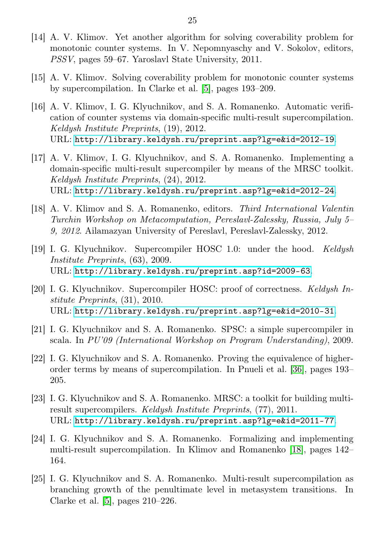- <span id="page-25-3"></span>[14] A. V. Klimov. Yet another algorithm for solving coverability problem for monotonic counter systems. In V. Nepomnyaschy and V. Sokolov, editors, PSSV, pages 59–67. Yaroslavl State University, 2011.
- <span id="page-25-2"></span>[15] A. V. Klimov. Solving coverability problem for monotonic counter systems by supercompilation. In Clarke et al. [\[5\]](#page-24-11), pages 193–209.
- <span id="page-25-8"></span>[16] A. V. Klimov, I. G. Klyuchnikov, and S. A. Romanenko. Automatic verification of counter systems via domain-specific multi-result supercompilation. Keldysh Institute Preprints, (19), 2012. URL: <http://library.keldysh.ru/preprint.asp?lg=e&id=2012-19>.
- <span id="page-25-9"></span>[17] A. V. Klimov, I. G. Klyuchnikov, and S. A. Romanenko. Implementing a domain-specific multi-result supercompiler by means of the MRSC toolkit. Keldysh Institute Preprints, (24), 2012. URL: <http://library.keldysh.ru/preprint.asp?lg=e&id=2012-24>.
- <span id="page-25-11"></span>[18] A. V. Klimov and S. A. Romanenko, editors. Third International Valentin Turchin Workshop on Metacomputation, Pereslavl-Zalessky, Russia, July 5– 9, 2012. Ailamazyan University of Pereslavl, Pereslavl-Zalessky, 2012.
- <span id="page-25-1"></span>[19] I. G. Klyuchnikov. Supercompiler HOSC 1.0: under the hood. Keldysh Institute Preprints, (63), 2009. URL: <http://library.keldysh.ru/preprint.asp?id=2009-63>.
- <span id="page-25-10"></span>[20] I. G. Klyuchnikov. Supercompiler HOSC: proof of correctness. Keldysh Institute Preprints, (31), 2010. URL: <http://library.keldysh.ru/preprint.asp?lg=e&id=2010-31>.
- <span id="page-25-0"></span>[21] I. G. Klyuchnikov and S. A. Romanenko. SPSC: a simple supercompiler in scala. In PU'09 (International Workshop on Program Understanding), 2009.
- <span id="page-25-4"></span>[22] I. G. Klyuchnikov and S. A. Romanenko. Proving the equivalence of higherorder terms by means of supercompilation. In Pnueli et al. [\[36\]](#page-26-12), pages 193– 205.
- <span id="page-25-6"></span>[23] I. G. Klyuchnikov and S. A. Romanenko. MRSC: a toolkit for building multiresult supercompilers. Keldysh Institute Preprints, (77), 2011. URL: <http://library.keldysh.ru/preprint.asp?lg=e&id=2011-77>.
- <span id="page-25-7"></span>[24] I. G. Klyuchnikov and S. A. Romanenko. Formalizing and implementing multi-result supercompilation. In Klimov and Romanenko [\[18\]](#page-25-11), pages 142– 164.
- <span id="page-25-5"></span>[25] I. G. Klyuchnikov and S. A. Romanenko. Multi-result supercompilation as branching growth of the penultimate level in metasystem transitions. In Clarke et al. [\[5\]](#page-24-11), pages 210–226.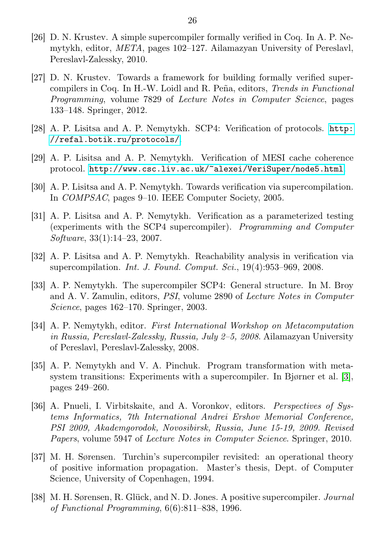- <span id="page-26-9"></span>[26] D. N. Krustev. A simple supercompiler formally verified in Coq. In A. P. Nemytykh, editor, META, pages 102–127. Ailamazyan University of Pereslavl, Pereslavl-Zalessky, 2010.
- <span id="page-26-10"></span>[27] D. N. Krustev. Towards a framework for building formally verified supercompilers in Coq. In H.-W. Loidl and R. Peña, editors, Trends in Functional Programming, volume 7829 of Lecture Notes in Computer Science, pages 133–148. Springer, 2012.
- <span id="page-26-8"></span>[28] A. P. Lisitsa and A. P. Nemytykh. SCP4: Verification of protocols. [http:](http://refal.botik.ru/protocols/) [//refal.botik.ru/protocols/](http://refal.botik.ru/protocols/).
- <span id="page-26-7"></span>[29] A. P. Lisitsa and A. P. Nemytykh. Verification of MESI cache coherence protocol. <http://www.csc.liv.ac.uk/~alexei/VeriSuper/node5.html>.
- <span id="page-26-4"></span>[30] A. P. Lisitsa and A. P. Nemytykh. Towards verification via supercompilation. In COMPSAC, pages 9–10. IEEE Computer Society, 2005.
- <span id="page-26-5"></span>[31] A. P. Lisitsa and A. P. Nemytykh. Verification as a parameterized testing (experiments with the SCP4 supercompiler). Programming and Computer Software, 33(1):14–23, 2007.
- <span id="page-26-6"></span>[32] A. P. Lisitsa and A. P. Nemytykh. Reachability analysis in verification via supercompilation. *Int. J. Found. Comput. Sci.*, 19(4):953-969, 2008.
- <span id="page-26-3"></span>[33] A. P. Nemytykh. The supercompiler SCP4: General structure. In M. Broy and A. V. Zamulin, editors, PSI, volume 2890 of Lecture Notes in Computer Science, pages 162–170. Springer, 2003.
- <span id="page-26-11"></span>[34] A. P. Nemytykh, editor. First International Workshop on Metacomputation in Russia, Pereslavl-Zalessky, Russia, July 2–5, 2008. Ailamazyan University of Pereslavl, Pereslavl-Zalessky, 2008.
- <span id="page-26-2"></span>[35] A. P. Nemytykh and V. A. Pinchuk. Program transformation with metasystem transitions: Experiments with a supercompiler. In Bjørner et al. [\[3\]](#page-24-12), pages 249–260.
- <span id="page-26-12"></span>[36] A. Pnueli, I. Virbitskaite, and A. Voronkov, editors. Perspectives of Systems Informatics, 7th International Andrei Ershov Memorial Conference, PSI 2009, Akademgorodok, Novosibirsk, Russia, June 15-19, 2009. Revised Papers, volume 5947 of Lecture Notes in Computer Science. Springer, 2010.
- <span id="page-26-0"></span>[37] M. H. Sørensen. Turchin's supercompiler revisited: an operational theory of positive information propagation. Master's thesis, Dept. of Computer Science, University of Copenhagen, 1994.
- <span id="page-26-1"></span>[38] M. H. Sørensen, R. Glück, and N. D. Jones. A positive supercompiler. Journal of Functional Programming, 6(6):811–838, 1996.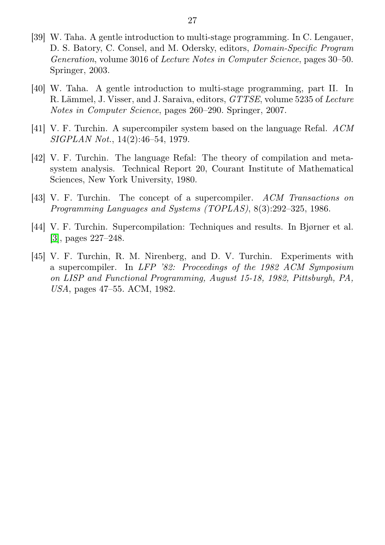- <span id="page-27-5"></span>[39] W. Taha. A gentle introduction to multi-stage programming. In C. Lengauer, D. S. Batory, C. Consel, and M. Odersky, editors, Domain-Specific Program Generation, volume 3016 of Lecture Notes in Computer Science, pages 30–50. Springer, 2003.
- <span id="page-27-6"></span>[40] W. Taha. A gentle introduction to multi-stage programming, part II. In R. Lämmel, J. Visser, and J. Saraiva, editors, GTTSE, volume 5235 of Lecture Notes in Computer Science, pages 260–290. Springer, 2007.
- <span id="page-27-0"></span>[41] V. F. Turchin. A supercompiler system based on the language Refal. ACM SIGPLAN Not., 14(2):46–54, 1979.
- <span id="page-27-1"></span>[42] V. F. Turchin. The language Refal: The theory of compilation and metasystem analysis. Technical Report 20, Courant Institute of Mathematical Sciences, New York University, 1980.
- <span id="page-27-3"></span>[43] V. F. Turchin. The concept of a supercompiler. ACM Transactions on Programming Languages and Systems (TOPLAS), 8(3):292–325, 1986.
- <span id="page-27-4"></span>[44] V. F. Turchin. Supercompilation: Techniques and results. In Bjørner et al. [\[3\]](#page-24-12), pages 227–248.
- <span id="page-27-2"></span>[45] V. F. Turchin, R. M. Nirenberg, and D. V. Turchin. Experiments with a supercompiler. In LFP '82: Proceedings of the 1982 ACM Symposium on LISP and Functional Programming, August 15-18, 1982, Pittsburgh, PA, USA, pages 47–55. ACM, 1982.